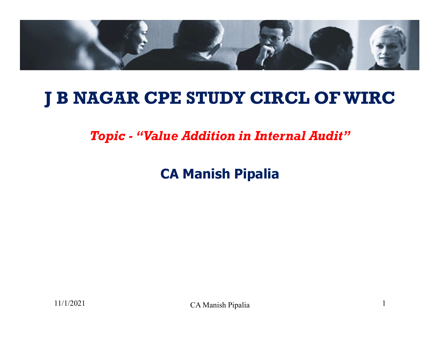

#### J B NAGAR CPE STUDY CIRCL OF WIRC

Topic - "Value Addition in Internal Audit"

CA Manish Pipalia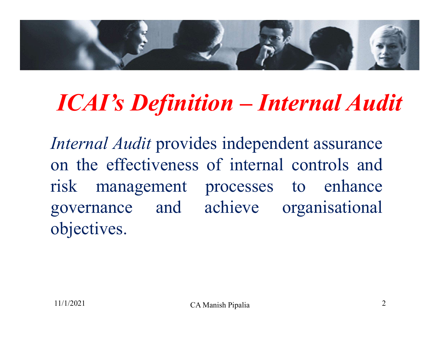

### ICAI's Definition – Internal Audit

Internal Audit provides independent assurance on the effectiveness of internal controls and risk management processes to enhance governance and achieve organisational objectives.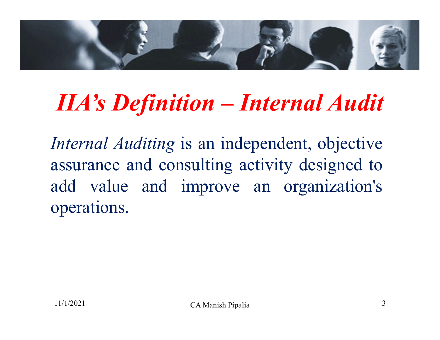

### IIA's Definition – Internal Audit

Internal Auditing is an independent, objective assurance and consulting activity designed to add value and improve an organization's operations.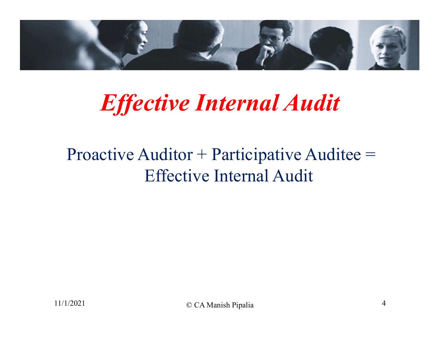

### Effective Internal Audit

#### Proactive Auditor + Participative Auditee = Effective Internal Audit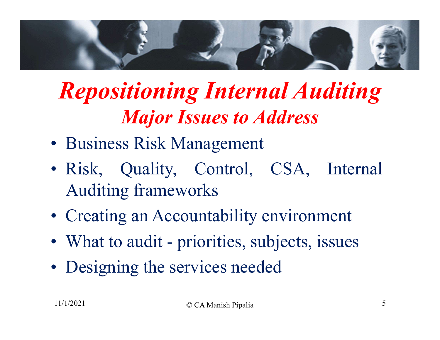

## Repositioning Internal Auditing **Major Issues to Address Repositioning Internal Auditing**<br> **Major Issues to Address**<br>
• Business Risk Management<br>
• Risk, Quality, Control, CSA, Internal<br>
Auditing frameworks<br>
• Creating an Accountability environment<br>
• What to audit - priorities

- 
- Auditing frameworks **Major Issues to Address**<br>
• Business Risk Management<br>
• Risk, Quality, Control, CSA, Internal<br>
Auditing frameworks<br>
• Creating an Accountability environment<br>
• What to audit - priorities, subjects, issues<br>
• Designing the • Business Risk Management<br>
• Risk, Quality, Control, CSA,<br>
Auditing frameworks<br>
• Creating an Accountability environm<br>
• What to audit - priorities, subjects, is<br>
• Designing the services needed<br>
• CA Manish Pipalia
- 
- 
-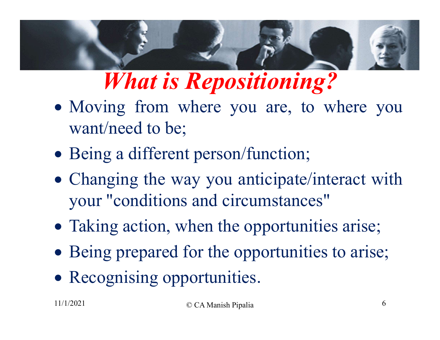

### What is Repositioning?

- Moving from where you are, to where you want/need to be;
- Being a different person/function;
- Changing the way you anticipate/interact with your "conditions and circumstances"
- Taking action, when the opportunities arise;
- Being prepared for the opportunities to arise;
- Recognising opportunities.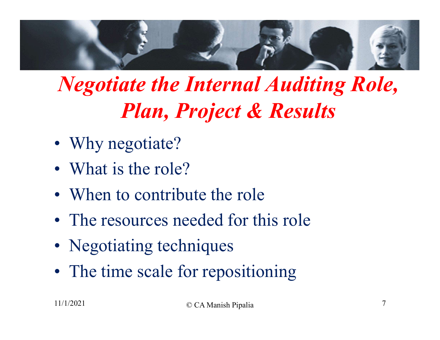

### Negotiate the Internal Auditing Role, Plan, Project & Results **Plan, Project & Why negotiate the International Plan, Project & What is the role?**<br>
• What is the role?<br>
• When to contribute the role **Plan, Project & Resu<br>• Why negotiate?**<br>• What is the role?<br>• When to contribute the role<br>• The resources needed for this role *Negotiate the Internal Auditing I*<br>*Plan, Project & Results***<br>• Why negotiate?<br>• When to contribute the role<br>• The resources needed for this role<br>• Negotiating techniques**

- 
- 
- 
- 
- 
- **Plan, Project & R**<br>• Why negotiate?<br>• What is the role?<br>• When to contribute the role<br>• The resources needed for this<br>• Negotiating techniques<br>• The time scale for repositioni • What is the role?<br>• When to contribute the role<br>• The resources needed for this role<br>• Negotiating techniques<br>• The time scale for repositioning<br>• The time scale for repositioning<br>•  $_{\text{CCA Manish Pipalia}}$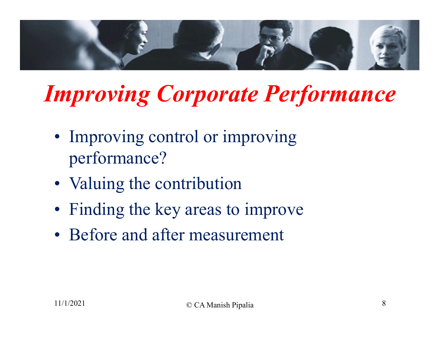

### Improving Corporate Performance

- performance? mproving Corporate Pe<br>• Improving control or improvin<br>performance?<br>• Valuing the contribution<br>• Finding the key areas to impro mproving Corporate Perform<br>• Improving control or improving<br>• Valuing the contribution<br>• Finding the key areas to improve<br>• Before and after measurement • Improving corrporate rerjor<br>• Improving control or improving<br>performance?<br>• Valuing the contribution<br>• Finding the key areas to improve<br>• Before and after measurement
- 
- 
-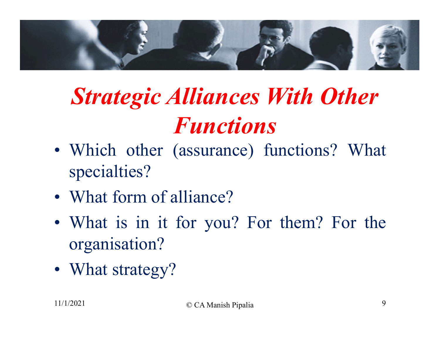

### Strategic Alliances With Other Functions **Strategic Alliances V<br>Functions**<br>• Which other (assurance) fuse<br>specialties?<br>• What form of alliance?<br>• What is in it for you? For **Strategic Alliances With Other**<br> **Functions**<br>
• Which other (assurance) functions? What<br>
specialties?<br>
• What form of alliance?<br>
• What is in it for you? For them? For the<br>
organisation?

- specialties? • Which other (assurance)<br>specialties?<br>• What form of alliance?<br>• What is in it for you? I<br>organisation?<br>• What strategy?<br>• What strategy?
- 
- organisation?
-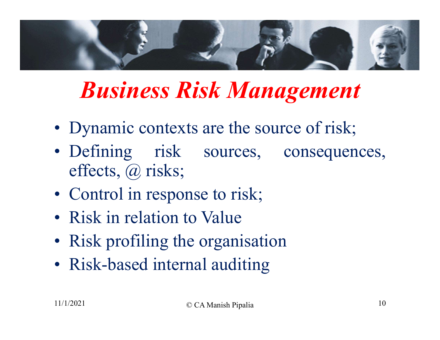

### Business Risk Management

- 
- effects, @ risks; **Business Risk Manage**<br>• Dynamic contexts are the source of<br>• Defining risk sources, cone effects, @ risks;<br>• Control in response to risk;<br>• Risk in relation to Value **Business Risk Mana**<br>• Dynamic contexts are the soure<br>• Defining risk sources, deffects, @ risks;<br>• Control in response to risk;<br>• Risk in relation to Value<br>• Risk profiling the organisation • Dynamic contexts are the source of r<br>
• Defining risk sources, conseq<br>
effects, @ risks;<br>
• Control in response to risk;<br>
• Risk in relation to Value<br>
• Risk profiling the organisation<br>
• Risk-based internal auditing • Dynamic contexts are the source o<br>
• Defining risk sources, cons<br>
effects,  $\omega$  risks;<br>
• Control in response to risk;<br>
• Risk in relation to Value<br>
• Risk profiling the organisation<br>
• Risk-based internal auditing
- 
- 
- 
-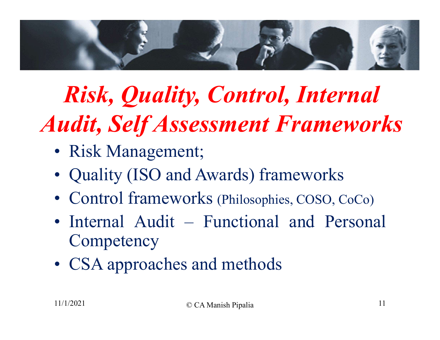

### Risk, Quality, Control, Internal Audit, Self Assessment Frameworks Risk, Quality, Comparison<br>
and Comparison Comparison<br>
Comparison Comparison<br>
Risk Management;<br>
Couality (ISO and Awards) **Fisk, Quality, Control, Internal<br>
udit, Self Assessment Framework**<br>
• Risk Management;<br>
• Quality (ISO and Awards) frameworks<br>
• Control frameworks (Philosophies, COSO, CoCo) **Risk, Quality, Control, Internal<br>
udit, Self Assessment Frameworks**<br>
• Risk Management;<br>
• Quality (ISO and Awards) frameworks<br>
• Control frameworks (Philosophies, COSO, CoCo)<br>
• Internal Audit – Functional and Personal **Risk, Quality, Control, Internal<br>
udit, Self Assessment Frameworks**<br>
• Risk Management;<br>
• Quality (ISO and Awards) frameworks<br>
• Control frameworks (Philosophies, COSO, CoCo)<br>
• Internal Audit – Functional and Personal<br>

- 
- 
- 
- **Competency** • Risk Management;<br>• Quality (ISO and Awards) framewor<br>• Control frameworks (Philosophies, COSC<br>• Internal Audit – Functional and 1<br>• CSA approaches and methods<br>• CSA approaches and methods
-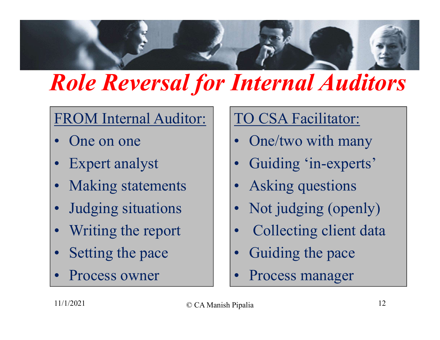

## Role Reversal for Internal Auditors **Role Reversal for In**<br>
FROM Internal Auditor:<br>
• One on one<br>
• Expert analyst<br>
• Making statements<br>
• Judging situations<br>
• Writing the report Internal Auditors<br>
TO CSA Facilitator:<br>
• One/two with many<br>
• Guiding 'in-experts'<br>
• Asking questions<br>
• Not judging (openly)<br>
• Collecting client data

# FROM Internal Auditor: FROM Internal Auditor:<br>
• One on one<br>
• Expert analyst<br>
• Making statements<br>
• Judging situations<br>
• Writing the report<br>
• Setting the pace FROM Internal Auditor:<br>
• One on one<br>
• Expert analyst<br>
• Making statements<br>
• Judging situations<br>
• Writing the report<br>
• Setting the pace<br>
• Process owner<br>
• Process owner<br>
• 1

- 
- 
- 
- One on one<br>
 Expert analyst<br>
 Making statements<br>
 Judging situations<br>
 Writing the report<br>
 Setting the pace<br>
 Process owner<br>
 Process owner<br>
 CAManish Pipali.
- 
- 
- 

#### TO CSA Facilitator:

- 
- 
- 
- TO CSA Facilitator:<br>
 One/two with many<br>
 Guiding 'in-experts'<br>
 Asking questions<br>
 Not judging (openly)<br>
 Collecting client data<br>
 Guiding the pace TO CSA Facilitator:<br>
• One/two with many<br>
• Guiding 'in-experts'<br>
• Asking questions<br>
• Not judging (openly)<br>
• Collecting client data<br>
• Guiding the pace<br>
• Process manager • One/two with many<br>
• Guiding 'in-experts'<br>
• Asking questions<br>
• Not judging (openly)<br>
• Collecting client data<br>
• Guiding the pace<br>
• Process manager<br>
<sup>Pipalia</sup>
- 
- 
-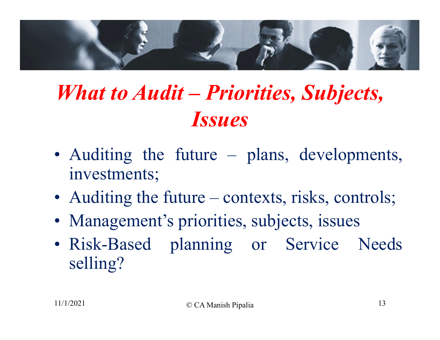

### What to Audit – Priorities, Subjects, Issues **What to Audit – Priorities, Subjects,**<br> **Issues**<br>
• Auditing the future – plans, developments,<br>
• Auditing the future – contexts, risks, controls;<br>
• Management's priorities, subjects, issues **What to Audit – Priorities, Subjects,**<br> **Issues**<br>
• Auditing the future – plans, developments,<br>
• Auditing the future – contexts, risks, controls;<br>
• Management's priorities, subjects, issues<br>
• Risk-Based planning or Se

- investments;
- 
- 
- **ISSUES**<br>• Auditing the future plans, developments,<br>• Auditing the future contexts, risks, controls;<br>• Management's priorities, subjects, issues<br>• Risk-Based planning or Service Needs<br>selling? selling?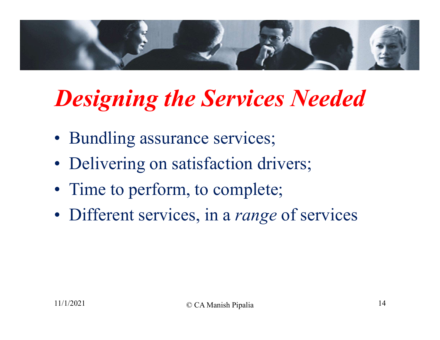

# Designing the Services Needed **Designing the Services Nee**<br>• Bundling assurance services;<br>• Delivering on satisfaction drivers;<br>• Time to perform, to complete;<br>• Different services, in a *range* of serv **Designing the Services Needed**<br>• Bundling assurance services;<br>• Delivering on satisfaction drivers;<br>• Time to perform, to complete;<br>• Different services, in a *range* of services

- 
- 
- 
-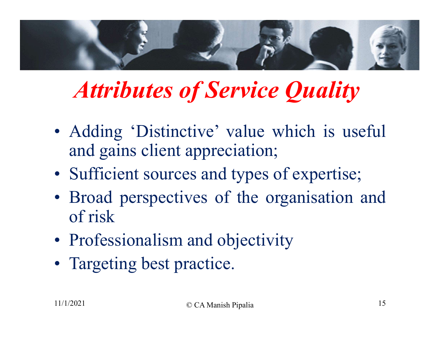

### Attributes of Service Quality

- and gains client appreciation; Attributes of Service Quality<br>
• Adding 'Distinctive' value which is useful<br>
and gains client appreciation;<br>
• Sufficient sources and types of expertise;<br>
• Broad perspectives of the organisation and<br>
of risk • Adding 'Distinctive' value which is<br>and gains client appreciation;<br>• Sufficient sources and types of expert:<br>• Broad perspectives of the organisation<br>of risk<br>• Professionalism and objectivity<br>• Targeting best practice.
- 
- of risk • Adding 'Distinctive' value w<br>and gains client appreciation;<br>• Sufficient sources and types o<br>• Broad perspectives of the or<br>of risk<br>• Professionalism and objectivi<br>• Targeting best practice.
- 
-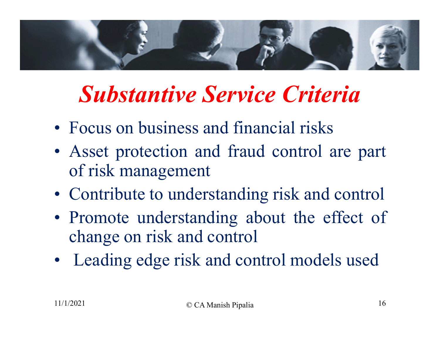

#### Substantive Service Criteria

- 
- of risk management **Substantive Service Criteria**<br>• Focus on business and financial risks<br>• Asset protection and fraud control are part<br>• Contribute to understanding risk and control<br>• Promote understanding about the effect of
- 
- **Substantive Service Criteria**<br>• Focus on business and financial risks<br>• Asset protection and fraud control are part<br>of risk management<br>• Contribute to understanding risk and control<br>• Promote understanding about the effec change on risk and control • Focus on business and financial risks<br>
• Asset protection and fraud control are part<br>
• Contribute to understanding risk and control<br>
• Promote understanding about the effect of<br>
change on risk and control<br>
• Leading edg
-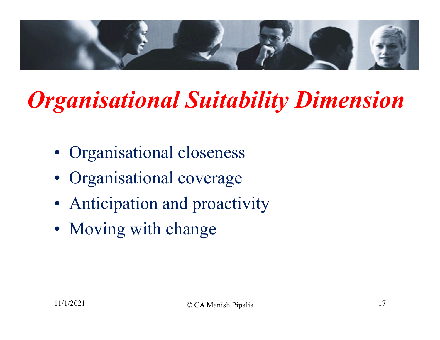

# Organisational Suitability Dimension **ganisational Suitability D**<br>• Organisational closeness<br>• Organisational coverage<br>• Anticipation and proactivity<br>• Moving with change **Sultanuary 1981**<br> **Example 18 Sultanuary 1988**<br>
• Organisational coverage<br>
• Anticipation and proactivit<br>
• Moving with change

- 
- 
- 
-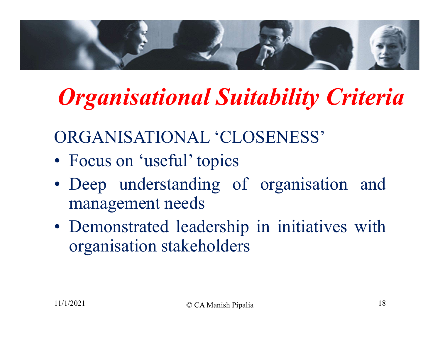

### Organisational Suitability Criteria

ORGANISATIONAL 'CLOSENESS'

- 
- **Cancer Contains Contains Contains Contains Contains Contains Contains Contains Contains Contains Contains Contains Contains Contains Contains Contains Contains Contains Contains Contains Contains Contains Contains Contain** management needs
- **Organisational Suitability Criteria**<br>
ORGANISATIONAL 'CLOSENESS'<br>
 Focus on 'useful' topics<br>
 Deep understanding of organisation and<br>
 Demonstrated leadership in initiatives with<br>
organisation stakeholders organisation stakeholders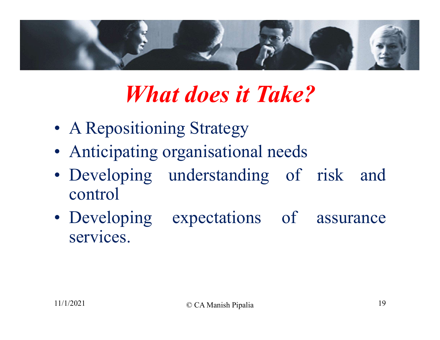

### What does it Take?

- 
- 
- control **What does it Take?**<br>
• A Repositioning Strategy<br>
• Anticipating organisational needs<br>
• Developing understanding of risk and<br>
• Developing expectations of assurance<br>
services.
- services.